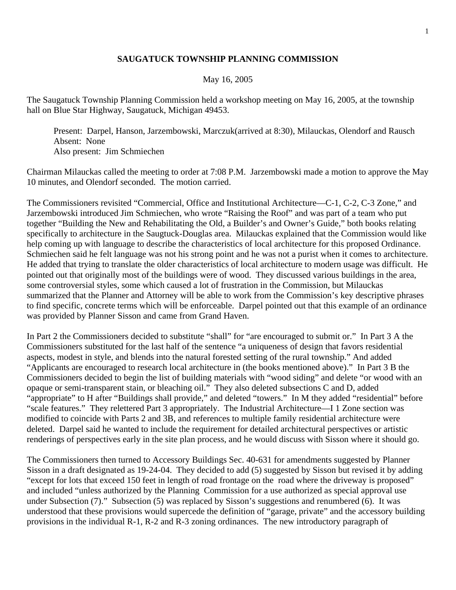## **SAUGATUCK TOWNSHIP PLANNING COMMISSION**

## May 16, 2005

The Saugatuck Township Planning Commission held a workshop meeting on May 16, 2005, at the township hall on Blue Star Highway, Saugatuck, Michigan 49453.

 Present: Darpel, Hanson, Jarzembowski, Marczuk(arrived at 8:30), Milauckas, Olendorf and Rausch Absent: None Also present: Jim Schmiechen

Chairman Milauckas called the meeting to order at 7:08 P.M. Jarzembowski made a motion to approve the May 10 minutes, and Olendorf seconded. The motion carried.

The Commissioners revisited "Commercial, Office and Institutional Architecture—C-1, C-2, C-3 Zone," and Jarzembowski introduced Jim Schmiechen, who wrote "Raising the Roof" and was part of a team who put together "Building the New and Rehabilitating the Old, a Builder's and Owner's Guide," both books relating specifically to architecture in the Saugtuck-Douglas area. Milauckas explained that the Commission would like help coming up with language to describe the characteristics of local architecture for this proposed Ordinance. Schmiechen said he felt language was not his strong point and he was not a purist when it comes to architecture. He added that trying to translate the older characteristics of local architecture to modern usage was difficult. He pointed out that originally most of the buildings were of wood. They discussed various buildings in the area, some controversial styles, some which caused a lot of frustration in the Commission, but Milauckas summarized that the Planner and Attorney will be able to work from the Commission's key descriptive phrases to find specific, concrete terms which will be enforceable. Darpel pointed out that this example of an ordinance was provided by Planner Sisson and came from Grand Haven.

In Part 2 the Commissioners decided to substitute "shall" for "are encouraged to submit or." In Part 3 A the Commissioners substituted for the last half of the sentence "a uniqueness of design that favors residential aspects, modest in style, and blends into the natural forested setting of the rural township." And added "Applicants are encouraged to research local architecture in (the books mentioned above)." In Part 3 B the Commissioners decided to begin the list of building materials with "wood siding" and delete "or wood with an opaque or semi-transparent stain, or bleaching oil." They also deleted subsections C and D, added "appropriate" to H after "Buildings shall provide," and deleted "towers." In M they added "residential" before "scale features." They relettered Part 3 appropriately. The Industrial Architecture—I 1 Zone section was modified to coincide with Parts 2 and 3B, and references to multiple family residential architecture were deleted. Darpel said he wanted to include the requirement for detailed architectural perspectives or artistic renderings of perspectives early in the site plan process, and he would discuss with Sisson where it should go.

The Commissioners then turned to Accessory Buildings Sec. 40-631 for amendments suggested by Planner Sisson in a draft designated as 19-24-04. They decided to add (5) suggested by Sisson but revised it by adding "except for lots that exceed 150 feet in length of road frontage on the road where the driveway is proposed" and included "unless authorized by the Planning Commission for a use authorized as special approval use under Subsection (7)." Subsection (5) was replaced by Sisson's suggestions and renumbered (6). It was understood that these provisions would supercede the definition of "garage, private" and the accessory building provisions in the individual R-1, R-2 and R-3 zoning ordinances. The new introductory paragraph of